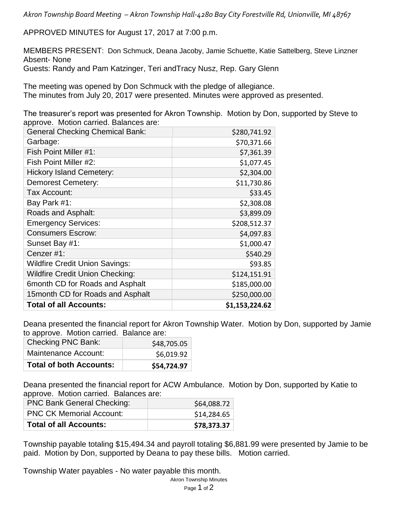*Akron Township Board Meeting – Akron Township Hall-4280 Bay City Forestville Rd, Unionville, MI 48767*

APPROVED MINUTES for August 17, 2017 at 7:00 p.m.

MEMBERS PRESENT: Don Schmuck, Deana Jacoby, Jamie Schuette, Katie Sattelberg, Steve Linzner Absent- None Guests: Randy and Pam Katzinger, Teri andTracy Nusz, Rep. Gary Glenn

The meeting was opened by Don Schmuck with the pledge of allegiance. The minutes from July 20, 2017 were presented. Minutes were approved as presented.

The treasurer's report was presented for Akron Township. Motion by Don, supported by Steve to approve. Motion carried. Balances are:

| <b>General Checking Chemical Bank:</b> | \$280,741.92   |
|----------------------------------------|----------------|
| Garbage:                               | \$70,371.66    |
| Fish Point Miller #1:                  | \$7,361.39     |
| Fish Point Miller #2:                  | \$1,077.45     |
| <b>Hickory Island Cemetery:</b>        | \$2,304.00     |
| <b>Demorest Cemetery:</b>              | \$11,730.86    |
| Tax Account:                           | \$33.45        |
| Bay Park #1:                           | \$2,308.08     |
| Roads and Asphalt:                     | \$3,899.09     |
| <b>Emergency Services:</b>             | \$208,512.37   |
| <b>Consumers Escrow:</b>               | \$4,097.83     |
| Sunset Bay #1:                         | \$1,000.47     |
| Cenzer#1:                              | \$540.29       |
| <b>Wildfire Credit Union Savings:</b>  | \$93.85        |
| <b>Wildfire Credit Union Checking:</b> | \$124,151.91   |
| 6month CD for Roads and Asphalt        | \$185,000.00   |
| 15month CD for Roads and Asphalt       | \$250,000.00   |
| <b>Total of all Accounts:</b>          | \$1,153,224.62 |

Deana presented the financial report for Akron Township Water. Motion by Don, supported by Jamie to approve. Motion carried. Balance are:

| <b>Total of both Accounts:</b> | \$54,724.97 |
|--------------------------------|-------------|
| Maintenance Account:           | \$6,019.92  |
| <b>Checking PNC Bank:</b>      | \$48,705.05 |

Deana presented the financial report for ACW Ambulance. Motion by Don, supported by Katie to approve. Motion carried. Balances are:

| <b>PNC Bank General Checking:</b> | \$64,088.72 |
|-----------------------------------|-------------|
| <b>PNC CK Memorial Account:</b>   | \$14,284.65 |
| <b>Total of all Accounts:</b>     | \$78,373.37 |

Township payable totaling \$15,494.34 and payroll totaling \$6,881.99 were presented by Jamie to be paid. Motion by Don, supported by Deana to pay these bills. Motion carried.

Township Water payables - No water payable this month.